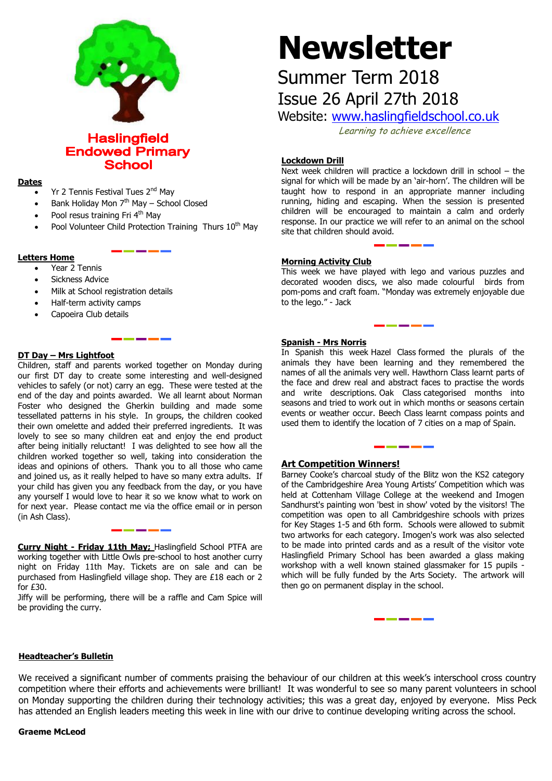

**Haslingfield Endowed Primary School** 

#### **Dates**

- Yr 2 Tennis Festival Tues 2nd May
- Bank Holiday Mon 7<sup>th</sup> May School Closed
- Pool resus training Fri 4<sup>th</sup> May
- Pool Volunteer Child Protection Training Thurs 10<sup>th</sup> May

#### **Letters Home**

- Year 2 Tennis
- Sickness Advice
- Milk at School registration details
- Half-term activity camps
- Capoeira Club details

# **DT Day – Mrs Lightfoot**

Children, staff and parents worked together on Monday during our first DT day to create some interesting and well-designed vehicles to safely (or not) carry an egg. These were tested at the end of the day and points awarded. We all learnt about Norman Foster who designed the Gherkin building and made some tessellated patterns in his style. In groups, the children cooked their own omelette and added their preferred ingredients. It was lovely to see so many children eat and enjoy the end product after being initially reluctant! I was delighted to see how all the children worked together so well, taking into consideration the ideas and opinions of others. Thank you to all those who came and joined us, as it really helped to have so many extra adults. If your child has given you any feedback from the day, or you have any yourself I would love to hear it so we know what to work on for next year. Please contact me via the office email or in person (in Ash Class).

**Curry Night - Friday 11th May;** Haslingfield School PTFA are working together with Little Owls pre-school to host another curry night on Friday 11th May. Tickets are on sale and can be purchased from Haslingfield village shop. They are £18 each or 2 for £30.

Jiffy will be performing, there will be a raffle and Cam Spice will be providing the curry.

# **Newsletter**

# Summer Term 2018 Issue 26 April 27th 2018

Website: [www.haslingfieldschool.co.uk](http://www.haslingfieldschool.co.uk/)

Learning to achieve excellence

#### **Lockdown Drill**

Next week children will practice a lockdown drill in school – the signal for which will be made by an 'air-horn'. The children will be taught how to respond in an appropriate manner including running, hiding and escaping. When the session is presented children will be encouraged to maintain a calm and orderly response. In our practice we will refer to an animal on the school site that children should avoid.

# **Morning Activity Club**

This week we have played with lego and various puzzles and decorated wooden discs, we also made colourful birds from pom-poms and craft foam. "Monday was extremely enjoyable due to the lego." - Jack

#### **Spanish - Mrs Norris**

 used them to identify the location of 7 cities on a map of Spain. In Spanish this week Hazel Class formed the plurals of the animals they have been learning and they remembered the names of all the animals very well. Hawthorn Class learnt parts of the face and drew real and abstract faces to practise the words and write descriptions. Oak Class categorised months into seasons and tried to work out in which months or seasons certain events or weather occur. Beech Class learnt compass points and

ľ

# **Art Competition Winners!**

Barney Cooke's charcoal study of the Blitz won the KS2 category of the Cambridgeshire Area Young Artists' Competition which was held at Cottenham Village College at the weekend and Imogen Sandhurst's painting won 'best in show' voted by the visitors! The competition was open to all Cambridgeshire schools with prizes for Key Stages 1-5 and 6th form. Schools were allowed to submit two artworks for each category. Imogen's work was also selected to be made into printed cards and as a result of the visitor vote Haslingfield Primary School has been awarded a glass making workshop with a well known stained glassmaker for 15 pupils which will be fully funded by the Arts Society. The artwork will then go on permanent display in the school.

# **Headteacher's Bulletin**

We received a significant number of comments praising the behaviour of our children at this week's interschool cross country competition where their efforts and achievements were brilliant! It was wonderful to see so many parent volunteers in school on Monday supporting the children during their technology activities; this was a great day, enjoyed by everyone. Miss Peck has attended an English leaders meeting this week in line with our drive to continue developing writing across the school.

#### **Graeme McLeod**